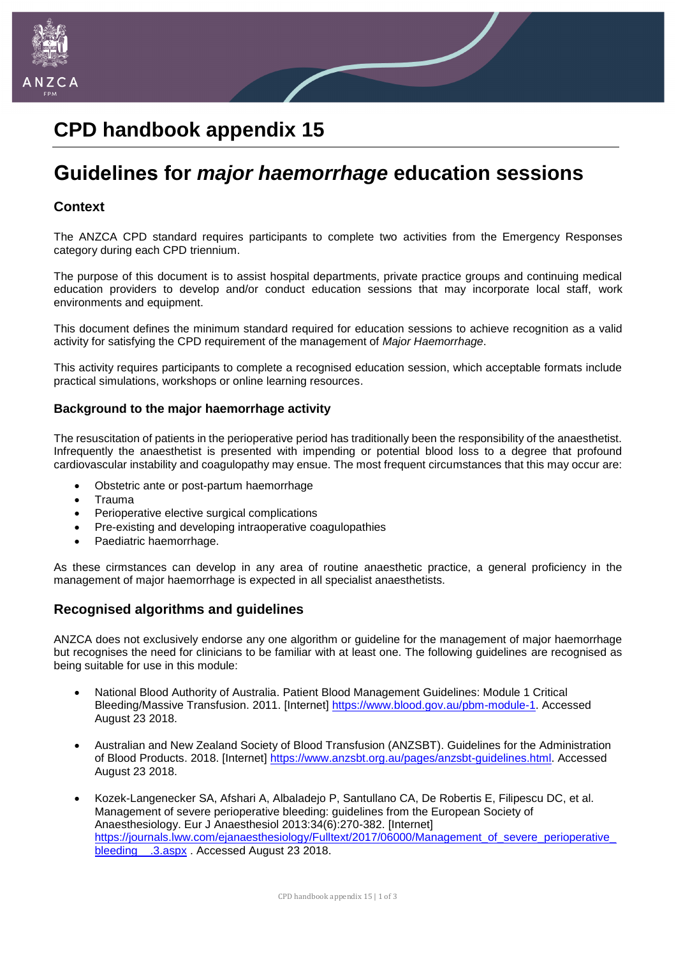

# **CPD handbook appendix 15**

# **Guidelines for** *major haemorrhage* **education sessions**

## **Context**

The ANZCA CPD standard requires participants to complete two activities from the Emergency Responses category during each CPD triennium.

The purpose of this document is to assist hospital departments, private practice groups and continuing medical education providers to develop and/or conduct education sessions that may incorporate local staff, work environments and equipment.

This document defines the minimum standard required for education sessions to achieve recognition as a valid activity for satisfying the CPD requirement of the management of *Major Haemorrhage*.

This activity requires participants to complete a recognised education session, which acceptable formats include practical simulations, workshops or online learning resources.

### **Background to the major haemorrhage activity**

The resuscitation of patients in the perioperative period has traditionally been the responsibility of the anaesthetist. Infrequently the anaesthetist is presented with impending or potential blood loss to a degree that profound cardiovascular instability and coagulopathy may ensue. The most frequent circumstances that this may occur are:

- Obstetric ante or post-partum haemorrhage
- Trauma
- Perioperative elective surgical complications
- Pre-existing and developing intraoperative coagulopathies
- Paediatric haemorrhage.

As these cirmstances can develop in any area of routine anaesthetic practice, a general proficiency in the management of major haemorrhage is expected in all specialist anaesthetists.

### **Recognised algorithms and guidelines**

ANZCA does not exclusively endorse any one algorithm or guideline for the management of major haemorrhage but recognises the need for clinicians to be familiar with at least one. The following guidelines are recognised as being suitable for use in this module:

- National Blood Authority of Australia. Patient Blood Management Guidelines: Module 1 Critical Bleeding/Massive Transfusion. 2011. [Internet] [https://www.blood.gov.au/pbm-module-1.](https://www.blood.gov.au/pbm-module-1) Accessed August 23 2018.
- Australian and New Zealand Society of Blood Transfusion (ANZSBT). Guidelines for the Administration of Blood Products. 2018. [Internet] [https://www.anzsbt.org.au/pages/anzsbt-guidelines.html.](https://www.anzsbt.org.au/pages/anzsbt-guidelines.html) Accessed August 23 2018.
- Kozek-Langenecker SA, Afshari A, Albaladejo P, Santullano CA, De Robertis E, Filipescu DC, et al. Management of severe perioperative bleeding: guidelines from the European Society of Anaesthesiology. Eur J Anaesthesiol 2013:34(6):270-382. [Internet] [https://journals.lww.com/ejanaesthesiology/Fulltext/2017/06000/Management\\_of\\_severe\\_perioperative\\_](https://journals.lww.com/ejanaesthesiology/Fulltext/2017/06000/Management_of_severe_perioperative_bleeding__.3.aspx) bleeding .3.aspx . Accessed August 23 2018.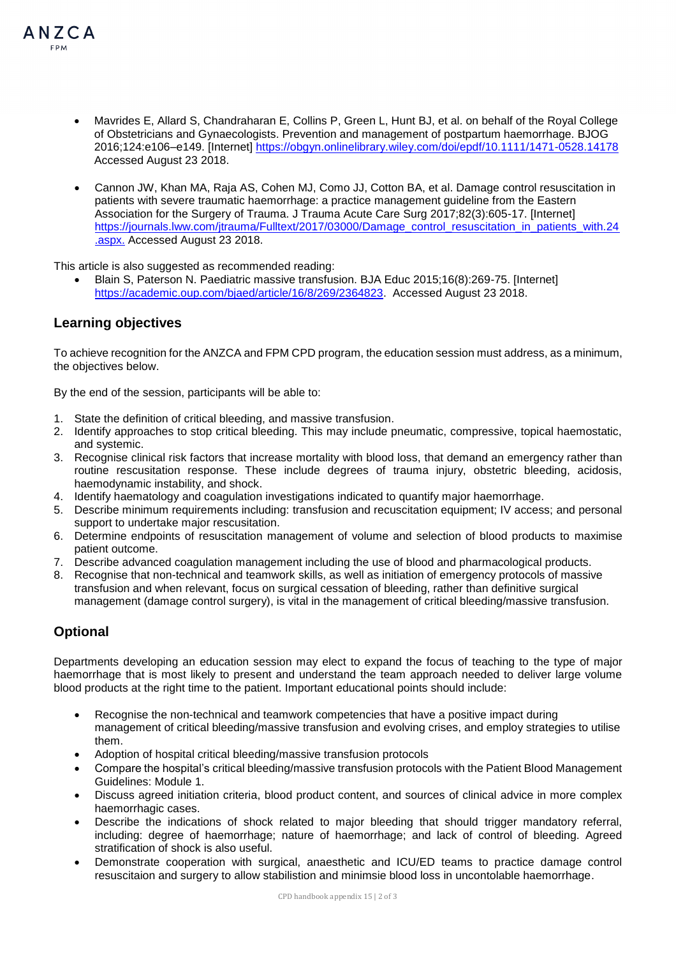

- Mavrides E, Allard S, Chandraharan E, Collins P, Green L, Hunt BJ, et al. on behalf of the Royal College of Obstetricians and Gynaecologists. Prevention and management of postpartum haemorrhage. BJOG 2016;124:e106–e149. [Internet]<https://obgyn.onlinelibrary.wiley.com/doi/epdf/10.1111/1471-0528.14178> Accessed August 23 2018.
- Cannon JW, Khan MA, Raja AS, Cohen MJ, Como JJ, Cotton BA, et al. Damage control resuscitation in patients with severe traumatic haemorrhage: a practice management guideline from the Eastern Association for the Surgery of Trauma. J Trauma Acute Care Surg 2017;82(3):605-17. [Internet] [https://journals.lww.com/jtrauma/Fulltext/2017/03000/Damage\\_control\\_resuscitation\\_in\\_patients\\_with.24](https://journals.lww.com/jtrauma/Fulltext/2017/03000/Damage_control_resuscitation_in_patients_with.24.aspx) [.aspx.](https://journals.lww.com/jtrauma/Fulltext/2017/03000/Damage_control_resuscitation_in_patients_with.24.aspx) Accessed August 23 2018.

This article is also suggested as recommended reading:

 Blain S, Paterson N. Paediatric massive transfusion. BJA Educ 2015;16(8):269-75. [Internet] [https://academic.oup.com/bjaed/article/16/8/269/2364823.](https://academic.oup.com/bjaed/article/16/8/269/2364823) Accessed August 23 2018.

## **Learning objectives**

To achieve recognition for the ANZCA and FPM CPD program, the education session must address, as a minimum, the objectives below.

By the end of the session, participants will be able to:

- 1. State the definition of critical bleeding, and massive transfusion.
- 2. Identify approaches to stop critical bleeding. This may include pneumatic, compressive, topical haemostatic, and systemic.
- 3. Recognise clinical risk factors that increase mortality with blood loss, that demand an emergency rather than routine rescusitation response. These include degrees of trauma injury, obstetric bleeding, acidosis, haemodynamic instability, and shock.
- 4. Identify haematology and coagulation investigations indicated to quantify major haemorrhage.
- 5. Describe minimum requirements including: transfusion and recuscitation equipment; IV access; and personal support to undertake major rescusitation.
- 6. Determine endpoints of resuscitation management of volume and selection of blood products to maximise patient outcome.
- 7. Describe advanced coagulation management including the use of blood and pharmacological products.
- 8. Recognise that non-technical and teamwork skills, as well as initiation of emergency protocols of massive transfusion and when relevant, focus on surgical cessation of bleeding, rather than definitive surgical management (damage control surgery), is vital in the management of critical bleeding/massive transfusion.

# **Optional**

Departments developing an education session may elect to expand the focus of teaching to the type of major haemorrhage that is most likely to present and understand the team approach needed to deliver large volume blood products at the right time to the patient. Important educational points should include:

- Recognise the non-technical and teamwork competencies that have a positive impact during management of critical bleeding/massive transfusion and evolving crises, and employ strategies to utilise them.
- Adoption of hospital critical bleeding/massive transfusion protocols
- Compare the hospital's critical bleeding/massive transfusion protocols with the Patient Blood Management Guidelines: Module 1.
- Discuss agreed initiation criteria, blood product content, and sources of clinical advice in more complex haemorrhagic cases.
- Describe the indications of shock related to major bleeding that should trigger mandatory referral, including: degree of haemorrhage; nature of haemorrhage; and lack of control of bleeding. Agreed stratification of shock is also useful.
- Demonstrate cooperation with surgical, anaesthetic and ICU/ED teams to practice damage control resuscitaion and surgery to allow stabilistion and minimsie blood loss in uncontolable haemorrhage.